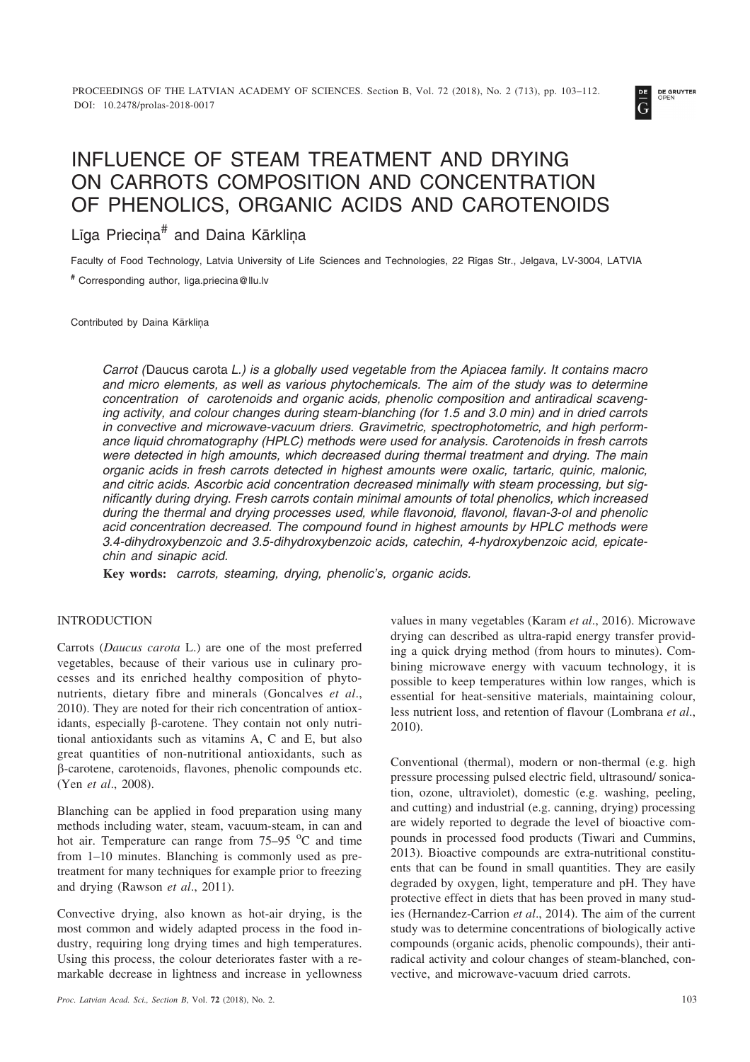

# INFLUENCE OF STEAM TREATMENT AND DRYING ON CARROTS COMPOSITION AND CONCENTRATION OF PHENOLICS, ORGANIC ACIDS AND CAROTENOIDS

# Līga Priecina<sup>#</sup> and Daina Kārklina

Faculty of Food Technology, Latvia University of Life Sciences and Technologies, 22 Rîgas Str., Jelgava, LV-3004, LATVIA

**#** Corresponding author, liga.priecina@llu.lv

Contributed by Daina Kārkliņa

*Carrot (*Daucus carota *L.) is a globally used vegetable from the Apiacea family. It contains macro and micro elements, as well as various phytochemicals. The aim of the study was to determine concentration of carotenoids and organic acids, phenolic composition and antiradical scavenging activity, and colour changes during steam-blanching (for 1.5 and 3.0 min) and in dried carrots in convective and microwave-vacuum driers. Gravimetric, spectrophotometric, and high performance liquid chromatography (HPLC) methods were used for analysis. Carotenoids in fresh carrots were detected in high amounts, which decreased during thermal treatment and drying. The main organic acids in fresh carrots detected in highest amounts were oxalic, tartaric, quinic, malonic, and citric acids. Ascorbic acid concentration decreased minimally with steam processing, but significantly during drying. Fresh carrots contain minimal amounts of total phenolics, which increased during the thermal and drying processes used, while flavonoid, flavonol, flavan-3-ol and phenolic acid concentration decreased. The compound found in highest amounts by HPLC methods were 3.4-dihydroxybenzoic and 3.5-dihydroxybenzoic acids, catechin, 4-hydroxybenzoic acid, epicatechin and sinapic acid.*

**Key words:** *carrots, steaming, drying, phenolic's, organic acids.*

# INTRODUCTION

Carrots (*Daucus carota* L.) are one of the most preferred vegetables, because of their various use in culinary processes and its enriched healthy composition of phytonutrients, dietary fibre and minerals (Goncalves *et al*., 2010). They are noted for their rich concentration of antioxidants, especially  $\beta$ -carotene. They contain not only nutritional antioxidants such as vitamins A, C and E, but also great quantities of non-nutritional antioxidants, such as --carotene, carotenoids, flavones, phenolic compounds etc. (Yen *et al*., 2008).

Blanching can be applied in food preparation using many methods including water, steam, vacuum-steam, in can and hot air. Temperature can range from  $75-95$  °C and time from 1–10 minutes. Blanching is commonly used as pretreatment for many techniques for example prior to freezing and drying (Rawson *et al*., 2011).

Convective drying, also known as hot-air drying, is the most common and widely adapted process in the food industry, requiring long drying times and high temperatures. Using this process, the colour deteriorates faster with a remarkable decrease in lightness and increase in yellowness values in many vegetables (Karam *et al*., 2016). Microwave drying can described as ultra-rapid energy transfer providing a quick drying method (from hours to minutes). Combining microwave energy with vacuum technology, it is possible to keep temperatures within low ranges, which is essential for heat-sensitive materials, maintaining colour, less nutrient loss, and retention of flavour (Lombrana *et al*., 2010).

Conventional (thermal), modern or non-thermal (e.g. high pressure processing pulsed electric field, ultrasound/ sonication, ozone, ultraviolet), domestic (e.g. washing, peeling, and cutting) and industrial (e.g. canning, drying) processing are widely reported to degrade the level of bioactive compounds in processed food products (Tiwari and Cummins, 2013). Bioactive compounds are extra-nutritional constituents that can be found in small quantities. They are easily degraded by oxygen, light, temperature and pH. They have protective effect in diets that has been proved in many studies (Hernandez-Carrion *et al*., 2014). The aim of the current study was to determine concentrations of biologically active compounds (organic acids, phenolic compounds), their antiradical activity and colour changes of steam-blanched, convective, and microwave-vacuum dried carrots.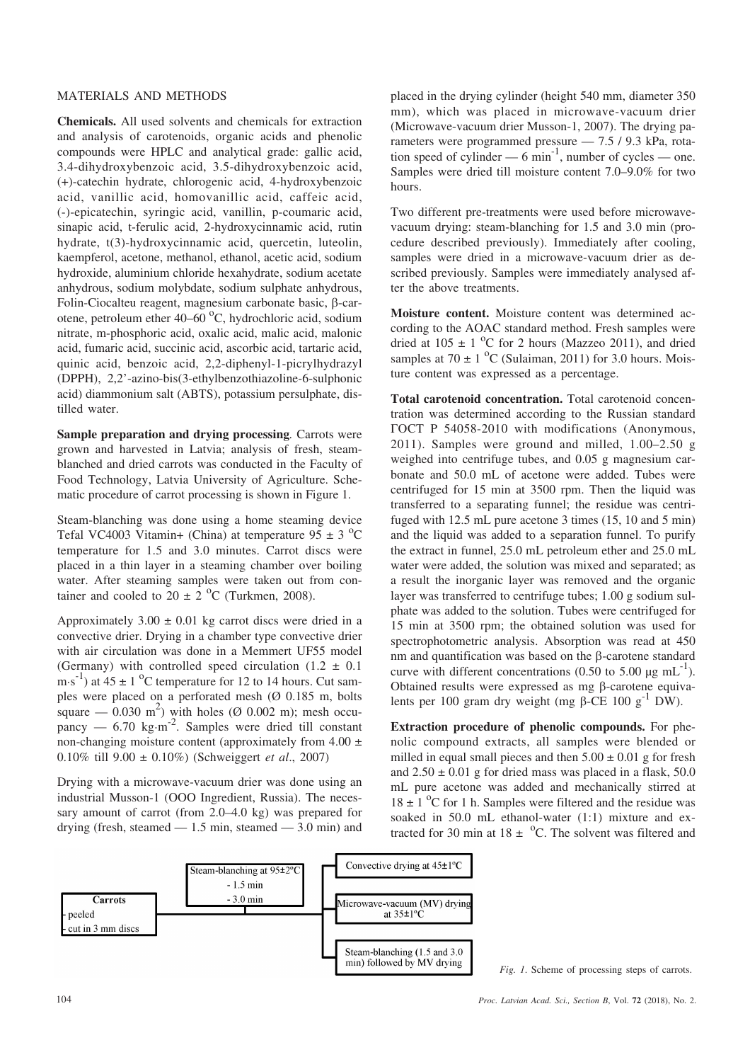#### MATERIALS AND METHODS

**Chemicals.** All used solvents and chemicals for extraction and analysis of carotenoids, organic acids and phenolic compounds were HPLC and analytical grade: gallic acid, 3.4-dihydroxybenzoic acid, 3.5-dihydroxybenzoic acid, (+)-catechin hydrate, chlorogenic acid, 4-hydroxybenzoic acid, vanillic acid, homovanillic acid, caffeic acid, (-)-epicatechin, syringic acid, vanillin, p-coumaric acid, sinapic acid, t-ferulic acid, 2-hydroxycinnamic acid, rutin hydrate, t(3)-hydroxycinnamic acid, quercetin, luteolin, kaempferol, acetone, methanol, ethanol, acetic acid, sodium hydroxide, aluminium chloride hexahydrate, sodium acetate anhydrous, sodium molybdate, sodium sulphate anhydrous, Folin-Ciocalteu reagent, magnesium carbonate basic,  $\beta$ -carotene, petroleum ether 40–60 °C, hydrochloric acid, sodium nitrate, m-phosphoric acid, oxalic acid, malic acid, malonic acid, fumaric acid, succinic acid, ascorbic acid, tartaric acid, quinic acid, benzoic acid, 2,2-diphenyl-1-picrylhydrazyl (DPPH), 2,2'-azino-bis(3-ethylbenzothiazoline-6-sulphonic acid) diammonium salt (ABTS), potassium persulphate, distilled water.

**Sample preparation and drying processing***.* Carrots were grown and harvested in Latvia; analysis of fresh, steamblanched and dried carrots was conducted in the Faculty of Food Technology, Latvia University of Agriculture. Schematic procedure of carrot processing is shown in Figure 1.

Steam-blanching was done using a home steaming device Tefal VC4003 Vitamin+ (China) at temperature  $95 \pm 3$  °C temperature for 1.5 and 3.0 minutes. Carrot discs were placed in a thin layer in a steaming chamber over boiling water. After steaming samples were taken out from container and cooled to  $20 \pm 2$  °C (Turkmen, 2008).

Approximately  $3.00 \pm 0.01$  kg carrot discs were dried in a convective drier. Drying in a chamber type convective drier with air circulation was done in a Memmert UF55 model (Germany) with controlled speed circulation  $(1.2 \pm 0.1)$  $\text{m·s}^{-1}$ ) at  $45 \pm 1$  <sup>o</sup>C temperature for 12 to 14 hours. Cut samples were placed on a perforated mesh ( $\varnothing$  0.185 m, bolts square  $-$  0.030 m<sup>2</sup>) with holes ( $\varnothing$  0.002 m); mesh occupancy —  $6.70 \text{ kg} \cdot \text{m}^{-2}$ . Samples were dried till constant non-changing moisture content (approximately from  $4.00 \pm$ 0.10% till 9.00 ± 0.10%) (Schweiggert *et al*., 2007)

Drying with a microwave-vacuum drier was done using an industrial Musson-1 (OOO Ingredient, Russia). The necessary amount of carrot (from 2.0–4.0 kg) was prepared for drying (fresh, steamed  $-1.5$  min, steamed  $-3.0$  min) and

placed in the drying cylinder (height 540 mm, diameter 350 mm), which was placed in microwave-vacuum drier (Microwave-vacuum drier Musson-1, 2007). The drying parameters were programmed pressure — 7.5 / 9.3 kPa, rotation speed of cylinder —  $6 \text{ min}^{-1}$ , number of cycles — one. Samples were dried till moisture content 7.0–9.0% for two hours.

Two different pre-treatments were used before microwavevacuum drying: steam-blanching for 1.5 and 3.0 min (procedure described previously). Immediately after cooling, samples were dried in a microwave-vacuum drier as described previously. Samples were immediately analysed after the above treatments.

**Moisture content.** Moisture content was determined according to the AOAC standard method. Fresh samples were dried at  $105 \pm 1$  °C for 2 hours (Mazzeo 2011), and dried samples at  $70 \pm 1$  <sup>o</sup>C (Sulaiman, 2011) for 3.0 hours. Moisture content was expressed as a percentage.

**Total carotenoid concentration.** Total carotenoid concentration was determined according to the Russian standard TOCT P 54058-2010 with modifications (Anonymous, 2011). Samples were ground and milled, 1.00–2.50 g weighed into centrifuge tubes, and 0.05 g magnesium carbonate and 50.0 mL of acetone were added. Tubes were centrifuged for 15 min at 3500 rpm. Then the liquid was transferred to a separating funnel; the residue was centrifuged with 12.5 mL pure acetone 3 times (15, 10 and 5 min) and the liquid was added to a separation funnel. To purify the extract in funnel, 25.0 mL petroleum ether and 25.0 mL water were added, the solution was mixed and separated; as a result the inorganic layer was removed and the organic layer was transferred to centrifuge tubes; 1.00 g sodium sulphate was added to the solution. Tubes were centrifuged for 15 min at 3500 rpm; the obtained solution was used for spectrophotometric analysis. Absorption was read at 450 nm and quantification was based on the  $\beta$ -carotene standard curve with different concentrations (0.50 to 5.00  $\mu$ g mL<sup>-1</sup>). Obtained results were expressed as mg  $\beta$ -carotene equivalents per 100 gram dry weight (mg  $\beta$ -CE 100 g<sup>-1</sup> DW).

**Extraction procedure of phenolic compounds.** For phenolic compound extracts, all samples were blended or milled in equal small pieces and then  $5.00 \pm 0.01$  g for fresh and  $2.50 \pm 0.01$  g for dried mass was placed in a flask, 50.0 mL pure acetone was added and mechanically stirred at  $18 \pm 1$  °C for 1 h. Samples were filtered and the residue was soaked in 50.0 mL ethanol-water (1:1) mixture and extracted for 30 min at  $18 \pm {}^{o}C$ . The solvent was filtered and



*Fig. 1*. Scheme of processing steps of carrots.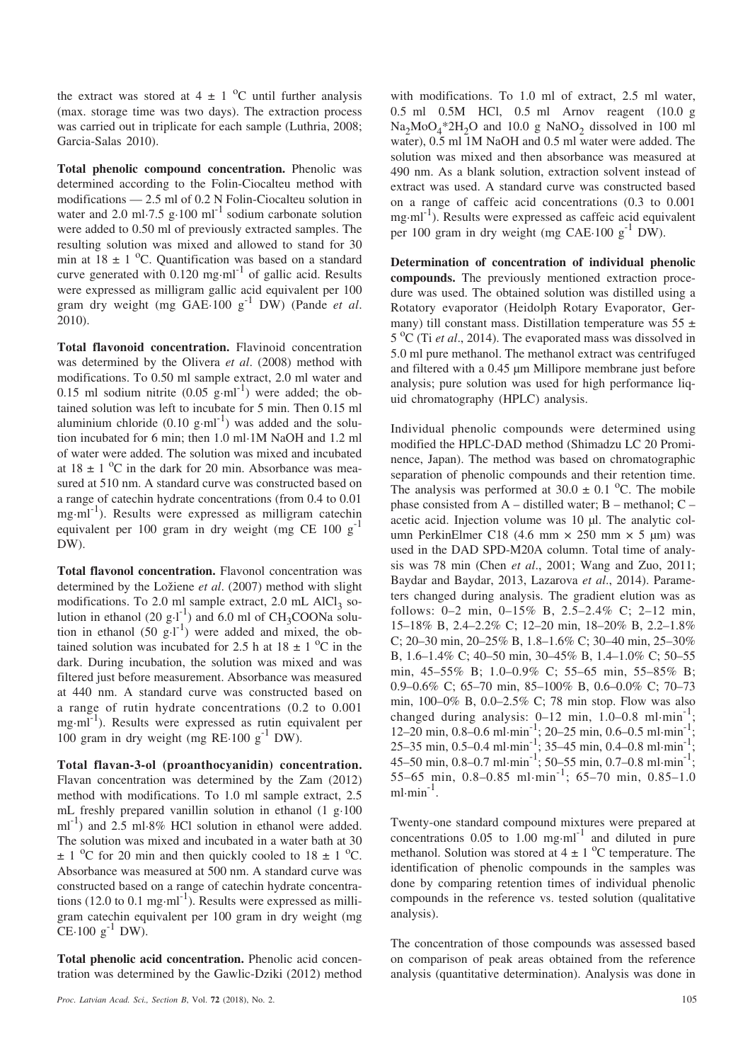the extract was stored at  $4 \pm 1$  <sup>o</sup>C until further analysis (max. storage time was two days). The extraction process was carried out in triplicate for each sample (Luthria, 2008; Garcia-Salas 2010).

**Total phenolic compound concentration.** Phenolic was determined according to the Folin-Ciocalteu method with modifications — 2.5 ml of 0.2 N Folin-Ciocalteu solution in water and 2.0 ml·7.5 g·100 ml<sup>-1</sup> sodium carbonate solution were added to 0.50 ml of previously extracted samples. The resulting solution was mixed and allowed to stand for 30 min at  $18 \pm 1$  °C. Quantification was based on a standard curve generated with  $0.120$  mg·ml<sup>-1</sup> of gallic acid. Results were expressed as milligram gallic acid equivalent per 100 gram dry weight (mg GAE·100 g-1 DW) (Pande *et al*. 2010).

**Total flavonoid concentration.** Flavinoid concentration was determined by the Olivera *et al*. (2008) method with modifications. To 0.50 ml sample extract, 2.0 ml water and 0.15 ml sodium nitrite  $(0.05 \text{ g} \cdot \text{ml}^{-1})$  were added; the obtained solution was left to incubate for 5 min. Then 0.15 ml aluminium chloride  $(0.10 \text{ g} \cdot \text{ml}^{-1})$  was added and the solution incubated for 6 min; then 1.0 ml·1M NaOH and 1.2 ml of water were added. The solution was mixed and incubated at  $18 \pm 1$  <sup>o</sup>C in the dark for 20 min. Absorbance was measured at 510 nm. A standard curve was constructed based on a range of catechin hydrate concentrations (from 0.4 to 0.01  $mg \cdot ml^{-1}$ ). Results were expressed as milligram catechin equivalent per 100 gram in dry weight (mg CE 100  $g^{-1}$ ) DW).

**Total flavonol concentration.** Flavonol concentration was determined by the Ložiene et al. (2007) method with slight modifications. To 2.0 ml sample extract, 2.0 mL  $AlCl<sub>3</sub>$  solution in ethanol (20 g·l<sup>-1</sup>) and 6.0 ml of CH<sub>3</sub>COONa solution in ethanol  $(50 \text{ g} \cdot \text{I}^{-1})$  were added and mixed, the obtained solution was incubated for 2.5 h at  $18 \pm 1$  <sup>o</sup>C in the dark. During incubation, the solution was mixed and was filtered just before measurement. Absorbance was measured at 440 nm. A standard curve was constructed based on a range of rutin hydrate concentrations (0.2 to 0.001 mg·ml<sup>-1</sup>). Results were expressed as rutin equivalent per 100 gram in dry weight (mg RE-100  $g^{-1}$  DW).

**Total flavan-3-ol (proanthocyanidin) concentration.** Flavan concentration was determined by the Zam (2012) method with modifications. To 1.0 ml sample extract, 2.5 mL freshly prepared vanillin solution in ethanol (1 g·100  $\text{mI}^{-1}$ ) and 2.5 ml·8% HCl solution in ethanol were added. The solution was mixed and incubated in a water bath at 30  $\pm$  1 <sup>o</sup>C for 20 min and then quickly cooled to 18  $\pm$  1 <sup>o</sup>C. Absorbance was measured at 500 nm. A standard curve was constructed based on a range of catechin hydrate concentrations (12.0 to 0.1 mg·ml<sup>-1</sup>). Results were expressed as milligram catechin equivalent per 100 gram in dry weight (mg  $CE·100 g<sup>-1</sup> DW.$ 

**Total phenolic acid concentration.** Phenolic acid concentration was determined by the Gawlic-Dziki (2012) method

*Proc. Latvian Acad. Sci., Section B*, Vol. **72** (2018), No. 2. 105

with modifications. To 1.0 ml of extract, 2.5 ml water, 0.5 ml 0.5M HCl, 0.5 ml Arnov reagent (10.0 g  $Na<sub>2</sub>MoO<sub>4</sub><sup>*</sup>2H<sub>2</sub>O$  and 10.0 g NaNO<sub>2</sub> dissolved in 100 ml water), 0.5 ml 1M NaOH and 0.5 ml water were added. The solution was mixed and then absorbance was measured at 490 nm. As a blank solution, extraction solvent instead of extract was used. A standard curve was constructed based on a range of caffeic acid concentrations (0.3 to 0.001 mg·ml-1). Results were expressed as caffeic acid equivalent per 100 gram in dry weight (mg CAE·100  $g^{-1}$  DW).

**Determination of concentration of individual phenolic compounds.** The previously mentioned extraction procedure was used. The obtained solution was distilled using a Rotatory evaporator (Heidolph Rotary Evaporator, Germany) till constant mass. Distillation temperature was  $55 \pm$ 5 <sup>o</sup>C (Ti *et al.*, 2014). The evaporated mass was dissolved in 5.0 ml pure methanol. The methanol extract was centrifuged and filtered with a 0.45 µm Millipore membrane just before analysis; pure solution was used for high performance liquid chromatography (HPLC) analysis.

Individual phenolic compounds were determined using modified the HPLC-DAD method (Shimadzu LC 20 Prominence, Japan). The method was based on chromatographic separation of phenolic compounds and their retention time. The analysis was performed at  $30.0 \pm 0.1$  °C. The mobile phase consisted from A – distilled water; B – methanol; C – acetic acid. Injection volume was 10 µl. The analytic column PerkinElmer C18 (4.6 mm  $\times$  250 mm  $\times$  5 µm) was used in the DAD SPD-M20A column. Total time of analysis was 78 min (Chen *et al*., 2001; Wang and Zuo, 2011; Baydar and Baydar, 2013, Lazarova *et al*., 2014). Parameters changed during analysis. The gradient elution was as follows: 0–2 min, 0–15% B, 2.5–2.4% C; 2–12 min, 15–18% B, 2.4–2.2% C; 12–20 min, 18–20% B, 2.2–1.8% C; 20–30 min, 20–25% B, 1.8–1.6% C; 30–40 min, 25–30% B, 1.6–1.4% C; 40–50 min, 30–45% B, 1.4–1.0% C; 50–55 min, 45–55% B; 1.0–0.9% C; 55–65 min, 55–85% B; 0.9–0.6% C; 65–70 min, 85–100% B, 0.6–0.0% C; 70–73 min, 100–0% B, 0.0–2.5% C; 78 min stop. Flow was also changed during analysis:  $0-12$  min,  $1.0-0.8$  ml·min<sup>-1</sup>; 12–20 min, 0.8–0.6 ml·min<sup>-1</sup>; 20–25 min, 0.6–0.5 ml·min<sup>-1</sup>; 25–35 min, 0.5–0.4 ml·min<sup>-1</sup>; 35–45 min, 0.4–0.8 ml·min<sup>-1</sup>; 45–50 min, 0.8–0.7 ml·min<sup>-1</sup>; 50–55 min, 0.7–0.8 ml·min<sup>-1</sup>; 55–65 min, 0.8–0.85 ml·min<sup>-1</sup>; 65–70 min, 0.85–1.0  $ml·min^{-1}$ .

Twenty-one standard compound mixtures were prepared at concentrations  $0.05$  to  $1.00$  mg·ml<sup>-1</sup> and diluted in pure methanol. Solution was stored at  $4 \pm 1$  °C temperature. The identification of phenolic compounds in the samples was done by comparing retention times of individual phenolic compounds in the reference vs. tested solution (qualitative analysis).

The concentration of those compounds was assessed based on comparison of peak areas obtained from the reference analysis (quantitative determination). Analysis was done in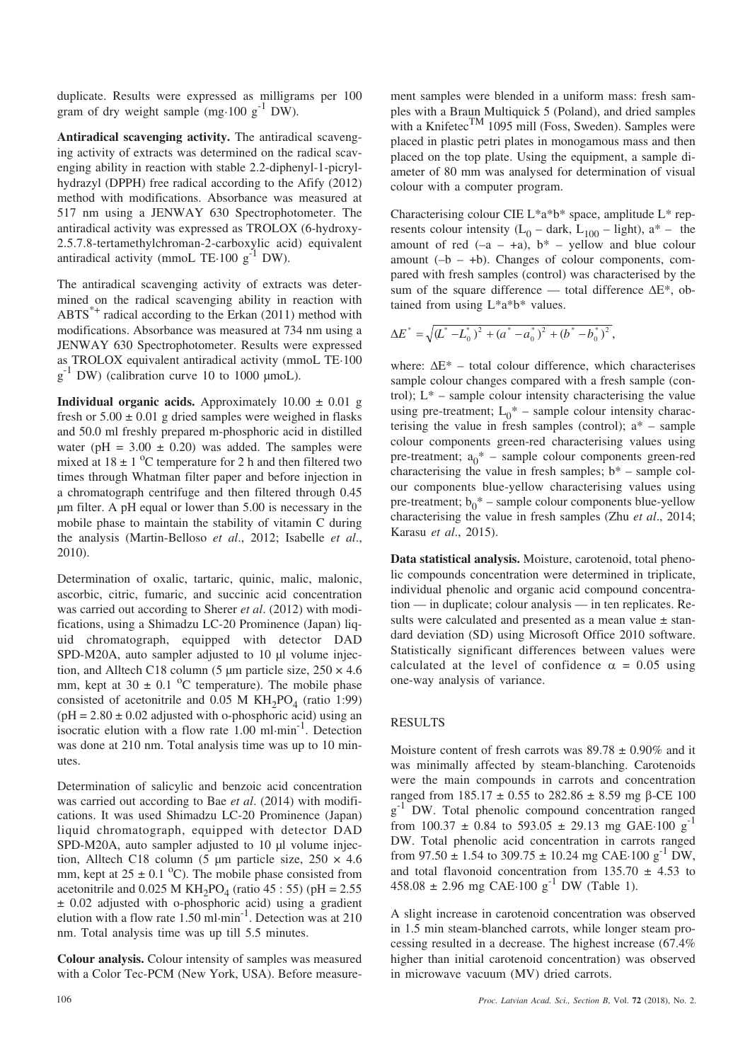duplicate. Results were expressed as milligrams per 100 gram of dry weight sample (mg $\cdot$ 100 g<sup>-1</sup> DW).

**Antiradical scavenging activity.** The antiradical scavenging activity of extracts was determined on the radical scavenging ability in reaction with stable 2.2-diphenyl-1-picrylhydrazyl (DPPH) free radical according to the Afify (2012) method with modifications. Absorbance was measured at 517 nm using a JENWAY 630 Spectrophotometer. The antiradical activity was expressed as TROLOX (6-hydroxy-2.5.7.8-tertamethylchroman-2-carboxylic acid) equivalent antiradical activity (mmoL TE $\cdot$ 100 g<sup>-1</sup> DW).

The antiradical scavenging activity of extracts was determined on the radical scavenging ability in reaction with  $ABTS^*$ <sup>+</sup> radical according to the Erkan (2011) method with modifications. Absorbance was measured at 734 nm using a JENWAY 630 Spectrophotometer. Results were expressed as TROLOX equivalent antiradical activity (mmoL TE·100  $g^{-1}$  DW) (calibration curve 10 to 1000 µmoL).

**Individual organic acids.** Approximately  $10.00 \pm 0.01$  g fresh or  $5.00 \pm 0.01$  g dried samples were weighed in flasks and 50.0 ml freshly prepared m-phosphoric acid in distilled water (pH =  $3.00 \pm 0.20$ ) was added. The samples were mixed at  $18 \pm 1$  <sup>o</sup>C temperature for 2 h and then filtered two times through Whatman filter paper and before injection in a chromatograph centrifuge and then filtered through 0.45 µm filter. A pH equal or lower than 5.00 is necessary in the mobile phase to maintain the stability of vitamin C during the analysis (Martin-Belloso *et al*., 2012; Isabelle *et al*., 2010).

Determination of oxalic, tartaric, quinic, malic, malonic, ascorbic, citric, fumaric, and succinic acid concentration was carried out according to Sherer *et al*. (2012) with modifications, using a Shimadzu LC-20 Prominence (Japan) liquid chromatograph, equipped with detector DAD SPD-M20A, auto sampler adjusted to 10 µl volume injection, and Alltech C18 column (5  $\mu$ m particle size, 250  $\times$  4.6 mm, kept at  $30 \pm 0.1$  °C temperature). The mobile phase consisted of acetonitrile and  $0.05$  M KH<sub>2</sub>PO<sub>4</sub> (ratio 1:99)  $(pH = 2.80 \pm 0.02$  adjusted with o-phosphoric acid) using an isocratic elution with a flow rate  $1.00 \text{ ml} \cdot \text{min}^{-1}$ . Detection was done at 210 nm. Total analysis time was up to 10 minutes.

Determination of salicylic and benzoic acid concentration was carried out according to Bae *et al*. (2014) with modifications. It was used Shimadzu LC-20 Prominence (Japan) liquid chromatograph, equipped with detector DAD SPD-M20A, auto sampler adjusted to 10 µl volume injection, Alltech C18 column (5 µm particle size,  $250 \times 4.6$ mm, kept at  $25 \pm 0.1$  °C). The mobile phase consisted from acetonitrile and  $0.025$  M KH<sub>2</sub>PO<sub>4</sub> (ratio 45 : 55) (pH = 2.55) ± 0.02 adjusted with o-phosphoric acid) using a gradient elution with a flow rate  $1.50$  ml·min<sup>-1</sup>. Detection was at 210 nm. Total analysis time was up till 5.5 minutes.

**Colour analysis.** Colour intensity of samples was measured with a Color Tec-PCM (New York, USA). Before measurement samples were blended in a uniform mass: fresh samples with a Braun Multiquick 5 (Poland), and dried samples with a Knifetec<sup>TM</sup> 1095 mill (Foss, Sweden). Samples were placed in plastic petri plates in monogamous mass and then placed on the top plate. Using the equipment, a sample diameter of 80 mm was analysed for determination of visual colour with a computer program.

Characterising colour CIE L\*a\*b\* space, amplitude L\* represents colour intensity  $(L_0 - \text{dark}, L_{100} - \text{light})$ , a<sup>\*</sup> – the amount of red  $(-a - a)$ ,  $b^*$  – yellow and blue colour amount  $(-b - +b)$ . Changes of colour components, compared with fresh samples (control) was characterised by the sum of the square difference — total difference  $\Delta E^*$ , obtained from using L\*a\*b\* values.

$$
\Delta E^* = \sqrt{(L^* - L_0^*)^2 + (a^* - a_0^*)^2 + (b^* - b_0^*)^2},
$$

where:  $\Delta E^*$  – total colour difference, which characterises sample colour changes compared with a fresh sample (control);  $L^*$  – sample colour intensity characterising the value using pre-treatment;  $L_0^*$  – sample colour intensity characterising the value in fresh samples (control);  $a^*$  – sample colour components green-red characterising values using pre-treatment;  $a_0^*$  – sample colour components green-red characterising the value in fresh samples;  $b^*$  – sample colour components blue-yellow characterising values using pre-treatment;  $b_0^*$  – sample colour components blue-yellow characterising the value in fresh samples (Zhu *et al*., 2014; Karasu *et al*., 2015).

**Data statistical analysis.** Moisture, carotenoid, total phenolic compounds concentration were determined in triplicate, individual phenolic and organic acid compound concentration — in duplicate; colour analysis — in ten replicates. Results were calculated and presented as a mean value  $\pm$  standard deviation (SD) using Microsoft Office 2010 software. Statistically significant differences between values were calculated at the level of confidence  $\alpha = 0.05$  using one-way analysis of variance.

#### RESULTS

Moisture content of fresh carrots was  $89.78 \pm 0.90\%$  and it was minimally affected by steam-blanching. Carotenoids were the main compounds in carrots and concentration ranged from  $185.17 \pm 0.55$  to  $282.86 \pm 8.59$  mg  $\beta$ -CE 100 g<sup>-1</sup> DW. Total phenolic compound concentration ranged from  $100.37 \pm 0.84$  to  $593.05 \pm 29.13$  mg GAE·100 g<sup>-1</sup> DW. Total phenolic acid concentration in carrots ranged from  $97.50 \pm 1.54$  to  $309.75 \pm 10.24$  mg CAE·100 g<sup>-1</sup> DW, and total flavonoid concentration from  $135.70 \pm 4.53$  to  $458.08 \pm 2.96$  mg CAE·100 g<sup>-1</sup> DW (Table 1).

A slight increase in carotenoid concentration was observed in 1.5 min steam-blanched carrots, while longer steam processing resulted in a decrease. The highest increase (67.4% higher than initial carotenoid concentration) was observed in microwave vacuum (MV) dried carrots.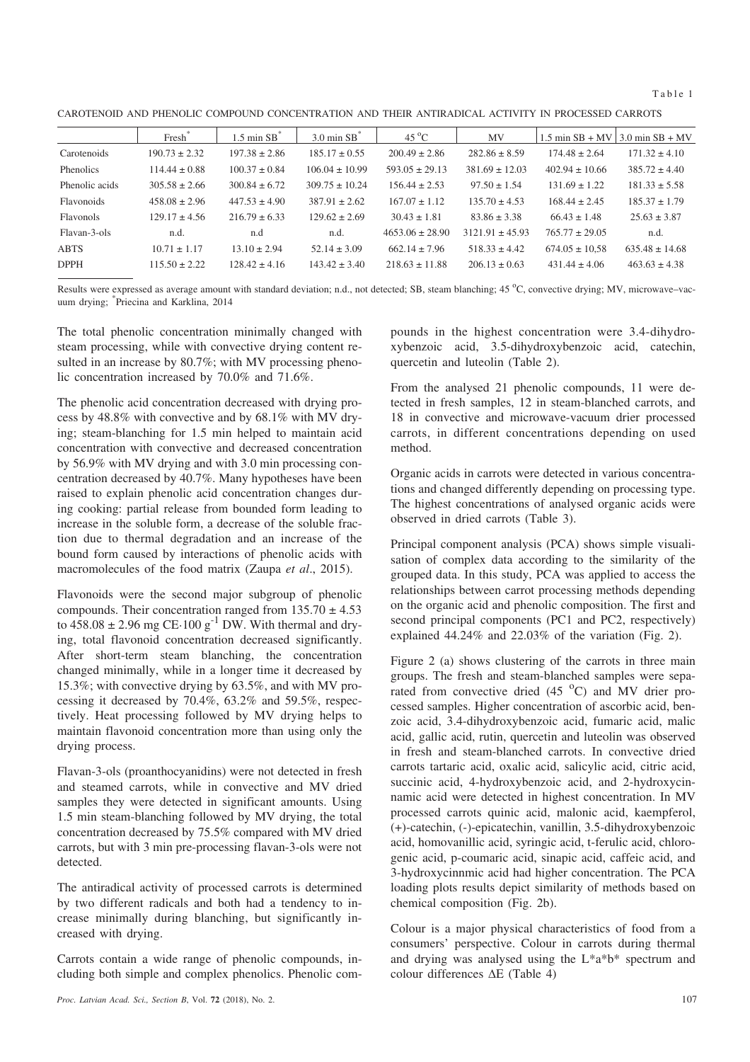Table 1

CAROTENOID AND PHENOLIC COMPOUND CONCENTRATION AND THEIR ANTIRADICAL ACTIVITY IN PROCESSED CARROTS

|                | Fresh             | $1.5 \text{ min}$ SB <sup><math>\degree</math></sup> | $3.0 \text{ min } SB$ <sup>*</sup> | $45^{\circ}$ C      | MV                  | $1.5$ min $SB + MV$ | $\frac{13.0 \text{ min SB} + \text{MV}}{20}$ |
|----------------|-------------------|------------------------------------------------------|------------------------------------|---------------------|---------------------|---------------------|----------------------------------------------|
| Carotenoids    | $190.73 \pm 2.32$ | $197.38 \pm 2.86$                                    | $185.17 \pm 0.55$                  | $200.49 \pm 2.86$   | $282.86 \pm 8.59$   | $174.48 \pm 2.64$   | $171.32 \pm 4.10$                            |
| Phenolics      | $114.44 \pm 0.88$ | $100.37 \pm 0.84$                                    | $106.04 \pm 10.99$                 | $593.05 \pm 29.13$  | $381.69 \pm 12.03$  | $402.94 \pm 10.66$  | $385.72 \pm 4.40$                            |
| Phenolic acids | $305.58 \pm 2.66$ | $300.84 \pm 6.72$                                    | $309.75 \pm 10.24$                 | $156.44 \pm 2.53$   | $97.50 \pm 1.54$    | $131.69 \pm 1.22$   | $181.33 \pm 5.58$                            |
| Flavonoids     | $458.08 \pm 2.96$ | $447.53 \pm 4.90$                                    | $387.91 \pm 2.62$                  | $167.07 \pm 1.12$   | $135.70 \pm 4.53$   | $168.44 \pm 2.45$   | $185.37 \pm 1.79$                            |
| Flavonols      | $129.17 \pm 4.56$ | $216.79 \pm 6.33$                                    | $129.62 \pm 2.69$                  | $30.43 \pm 1.81$    | $83.86 \pm 3.38$    | $66.43 \pm 1.48$    | $25.63 \pm 3.87$                             |
| Flavan-3-ols   | n.d.              | n.d                                                  | n.d.                               | $4653.06 \pm 28.90$ | $3121.91 \pm 45.93$ | $765.77 \pm 29.05$  | n.d.                                         |
| <b>ABTS</b>    | $10.71 \pm 1.17$  | $13.10 \pm 2.94$                                     | $52.14 \pm 3.09$                   | $662.14 \pm 7.96$   | $518.33 \pm 4.42$   | $674.05 \pm 10.58$  | $635.48 \pm 14.68$                           |
| <b>DPPH</b>    | $115.50 \pm 2.22$ | $128.42 \pm 4.16$                                    | $143.42 \pm 3.40$                  | $21863 + 1188$      | $206.13 \pm 0.63$   | $431.44 \pm 4.06$   | $463.63 \pm 4.38$                            |

Results were expressed as average amount with standard deviation; n.d., not detected; SB, steam blanching; 45 °C, convective drying; MV, microwave-vacuum drying; \* Priecina and Karklina, 2014

The total phenolic concentration minimally changed with steam processing, while with convective drying content resulted in an increase by 80.7%; with MV processing phenolic concentration increased by 70.0% and 71.6%.

The phenolic acid concentration decreased with drying process by 48.8% with convective and by 68.1% with MV drying; steam-blanching for 1.5 min helped to maintain acid concentration with convective and decreased concentration by 56.9% with MV drying and with 3.0 min processing concentration decreased by 40.7%. Many hypotheses have been raised to explain phenolic acid concentration changes during cooking: partial release from bounded form leading to increase in the soluble form, a decrease of the soluble fraction due to thermal degradation and an increase of the bound form caused by interactions of phenolic acids with macromolecules of the food matrix (Zaupa *et al*., 2015).

Flavonoids were the second major subgroup of phenolic compounds. Their concentration ranged from  $135.70 \pm 4.53$ to  $458.08 \pm 2.96$  mg CE $\cdot 100$  g<sup>-1</sup> DW. With thermal and drying, total flavonoid concentration decreased significantly. After short-term steam blanching, the concentration changed minimally, while in a longer time it decreased by 15.3%; with convective drying by 63.5%, and with MV processing it decreased by 70.4%, 63.2% and 59.5%, respectively. Heat processing followed by MV drying helps to maintain flavonoid concentration more than using only the drying process.

Flavan-3-ols (proanthocyanidins) were not detected in fresh and steamed carrots, while in convective and MV dried samples they were detected in significant amounts. Using 1.5 min steam-blanching followed by MV drying, the total concentration decreased by 75.5% compared with MV dried carrots, but with 3 min pre-processing flavan-3-ols were not detected.

The antiradical activity of processed carrots is determined by two different radicals and both had a tendency to increase minimally during blanching, but significantly increased with drying.

Carrots contain a wide range of phenolic compounds, including both simple and complex phenolics. Phenolic compounds in the highest concentration were 3.4-dihydroxybenzoic acid, 3.5-dihydroxybenzoic acid, catechin, quercetin and luteolin (Table 2).

From the analysed 21 phenolic compounds, 11 were detected in fresh samples, 12 in steam-blanched carrots, and 18 in convective and microwave-vacuum drier processed carrots, in different concentrations depending on used method.

Organic acids in carrots were detected in various concentrations and changed differently depending on processing type. The highest concentrations of analysed organic acids were observed in dried carrots (Table 3).

Principal component analysis (PCA) shows simple visualisation of complex data according to the similarity of the grouped data. In this study, PCA was applied to access the relationships between carrot processing methods depending on the organic acid and phenolic composition. The first and second principal components (PC1 and PC2, respectively) explained 44.24% and 22.03% of the variation (Fig. 2).

Figure 2 (a) shows clustering of the carrots in three main groups. The fresh and steam-blanched samples were separated from convective dried  $(45<sup>o</sup>C)$  and MV drier processed samples. Higher concentration of ascorbic acid, benzoic acid, 3.4-dihydroxybenzoic acid, fumaric acid, malic acid, gallic acid, rutin, quercetin and luteolin was observed in fresh and steam-blanched carrots. In convective dried carrots tartaric acid, oxalic acid, salicylic acid, citric acid, succinic acid, 4-hydroxybenzoic acid, and 2-hydroxycinnamic acid were detected in highest concentration. In MV processed carrots quinic acid, malonic acid, kaempferol, (+)-catechin, (-)-epicatechin, vanillin, 3.5-dihydroxybenzoic acid, homovanillic acid, syringic acid, t-ferulic acid, chlorogenic acid, p-coumaric acid, sinapic acid, caffeic acid, and 3-hydroxycinnmic acid had higher concentration. The PCA loading plots results depict similarity of methods based on chemical composition (Fig. 2b).

Colour is a major physical characteristics of food from a consumers' perspective. Colour in carrots during thermal and drying was analysed using the L\*a\*b\* spectrum and colour differences  $\Delta E$  (Table 4)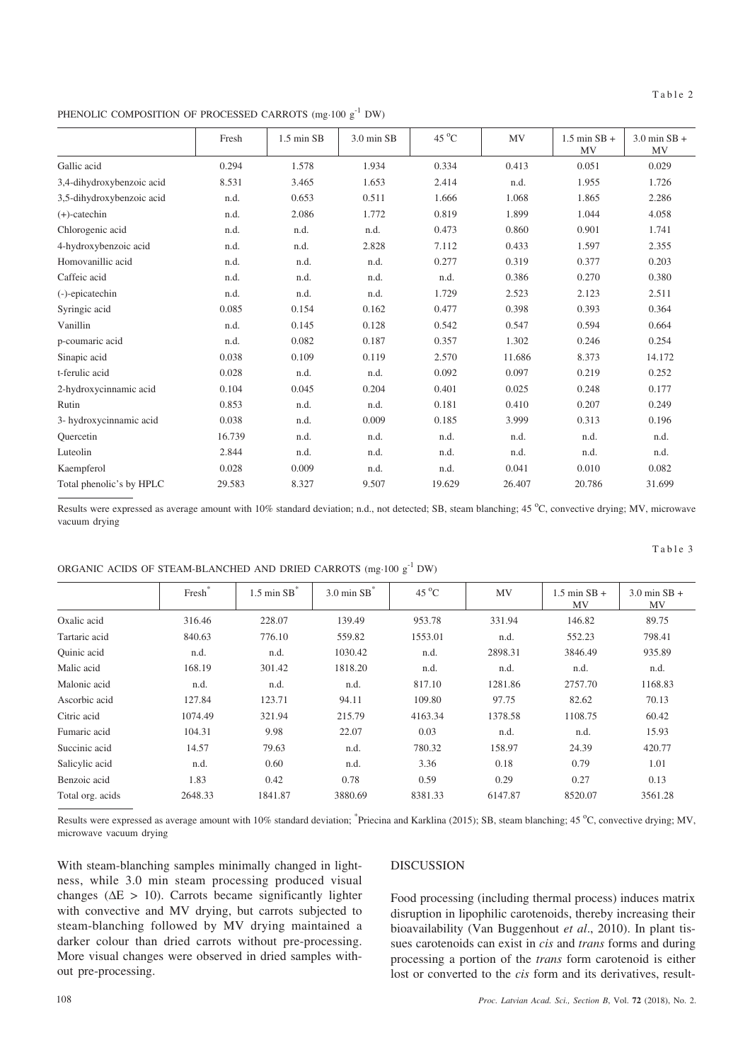PHENOLIC COMPOSITION OF PROCESSED CARROTS (mg·100  $g^{-1}$  DW)

|                           | Fresh  | $1.5 \text{ min } SB$ | 3.0 min SB | 45 $^{\circ}$ C | MV     | $1.5$ min SB +<br><b>MV</b> | $3.0$ min SB +<br>MV |
|---------------------------|--------|-----------------------|------------|-----------------|--------|-----------------------------|----------------------|
| Gallic acid               | 0.294  | 1.578                 | 1.934      | 0.334           | 0.413  | 0.051                       | 0.029                |
| 3,4-dihydroxybenzoic acid | 8.531  | 3.465                 | 1.653      | 2.414           | n.d.   | 1.955                       | 1.726                |
| 3,5-dihydroxybenzoic acid | n.d.   | 0.653                 | 0.511      | 1.666           | 1.068  | 1.865                       | 2.286                |
| $(+)$ -catechin           | n.d.   | 2.086                 | 1.772      | 0.819           | 1.899  | 1.044                       | 4.058                |
| Chlorogenic acid          | n.d.   | n.d.                  | n.d.       | 0.473           | 0.860  | 0.901                       | 1.741                |
| 4-hydroxybenzoic acid     | n.d.   | n.d.                  | 2.828      | 7.112           | 0.433  | 1.597                       | 2.355                |
| Homovanillic acid         | n.d.   | n.d.                  | n.d.       | 0.277           | 0.319  | 0.377                       | 0.203                |
| Caffeic acid              | n.d.   | n.d.                  | n.d.       | n.d.            | 0.386  | 0.270                       | 0.380                |
| (-)-epicatechin           | n.d.   | n.d.                  | n.d.       | 1.729           | 2.523  | 2.123                       | 2.511                |
| Syringic acid             | 0.085  | 0.154                 | 0.162      | 0.477           | 0.398  | 0.393                       | 0.364                |
| Vanillin                  | n.d.   | 0.145                 | 0.128      | 0.542           | 0.547  | 0.594                       | 0.664                |
| p-coumaric acid           | n.d.   | 0.082                 | 0.187      | 0.357           | 1.302  | 0.246                       | 0.254                |
| Sinapic acid              | 0.038  | 0.109                 | 0.119      | 2.570           | 11.686 | 8.373                       | 14.172               |
| t-ferulic acid            | 0.028  | n.d.                  | n.d.       | 0.092           | 0.097  | 0.219                       | 0.252                |
| 2-hydroxycinnamic acid    | 0.104  | 0.045                 | 0.204      | 0.401           | 0.025  | 0.248                       | 0.177                |
| Rutin                     | 0.853  | n.d.                  | n.d.       | 0.181           | 0.410  | 0.207                       | 0.249                |
| 3- hydroxycinnamic acid   | 0.038  | n.d.                  | 0.009      | 0.185           | 3.999  | 0.313                       | 0.196                |
| Ouercetin                 | 16.739 | n.d.                  | n.d.       | n.d.            | n.d.   | n.d.                        | n.d.                 |
| Luteolin                  | 2.844  | n.d.                  | n.d.       | n.d.            | n.d.   | n.d.                        | n.d.                 |
| Kaempferol                | 0.028  | 0.009                 | n.d.       | n.d.            | 0.041  | 0.010                       | 0.082                |
| Total phenolic's by HPLC  | 29.583 | 8.327                 | 9.507      | 19.629          | 26.407 | 20.786                      | 31.699               |

Results were expressed as average amount with 10% standard deviation; n.d., not detected; SB, steam blanching; 45 °C, convective drying; MV, microwave vacuum drying

Oxalic acid 316.46 228.07 139.49 953.78 331.94 146.82 89.75 Tartaric acid 840.63 776.10 559.82 1553.01 n.d. 552.23 798.41 Quinic acid n.d. n.d. 1030.42 n.d. 2898.31 3846.49 935.89 Malic acid 168.19 301.42 1818.20 n.d. n.d. n.d. n.d. Malonic acid **n.d.** n.d. n.d. n.d. n.d. n.d. 817.10 1281.86 2757.70 1168.83 Ascorbic acid 127.84 123.71 94.11 109.80 97.75 82.62 70.13 Citric acid 1074.49 321.94 215.79 4163.34 1378.58 1108.75 60.42 Fumaric acid 104.31 9.98 22.07 0.03 n.d. n.d. 15.93 Succinic acid 14.57 79.63 n.d. 780.32 158.97 24.39 420.77 Salicylic acid **n.d.** 0.60 n.d. 3.36 0.18 0.79 1.01 Benzoic acid 1.83 0.42 0.78 0.59 0.29 0.27 0.13 Total org. acids 2648.33 1841.87 3880.69 8381.33 6147.87 8520.07 3561.28

Fresh\* | 1.5 min  $SB^*$  | 3.0 min  $SB^*$  | 45 °C

|                         | Results were expressed as average amount with 10% standard deviation; *Priecina and Karklina (2015); SB, steam blanching; 45 °C, convective drying; MV, |
|-------------------------|---------------------------------------------------------------------------------------------------------------------------------------------------------|
| microwave vacuum drying |                                                                                                                                                         |

With steam-blanching samples minimally changed in lightness, while 3.0 min steam processing produced visual changes ( $\Delta E > 10$ ). Carrots became significantly lighter with convective and MV drying, but carrots subjected to steam-blanching followed by MV drying maintained a darker colour than dried carrots without pre-processing. More visual changes were observed in dried samples without pre-processing.

## DISCUSSION

Food processing (including thermal process) induces matrix disruption in lipophilic carotenoids, thereby increasing their bioavailability (Van Buggenhout *et al*., 2010). In plant tissues carotenoids can exist in *cis* and *trans* forms and during processing a portion of the *trans* form carotenoid is either lost or converted to the *cis* form and its derivatives, result-

 $MV$  1.5 min SB +

MV

Table 3

3.0 min SB + MV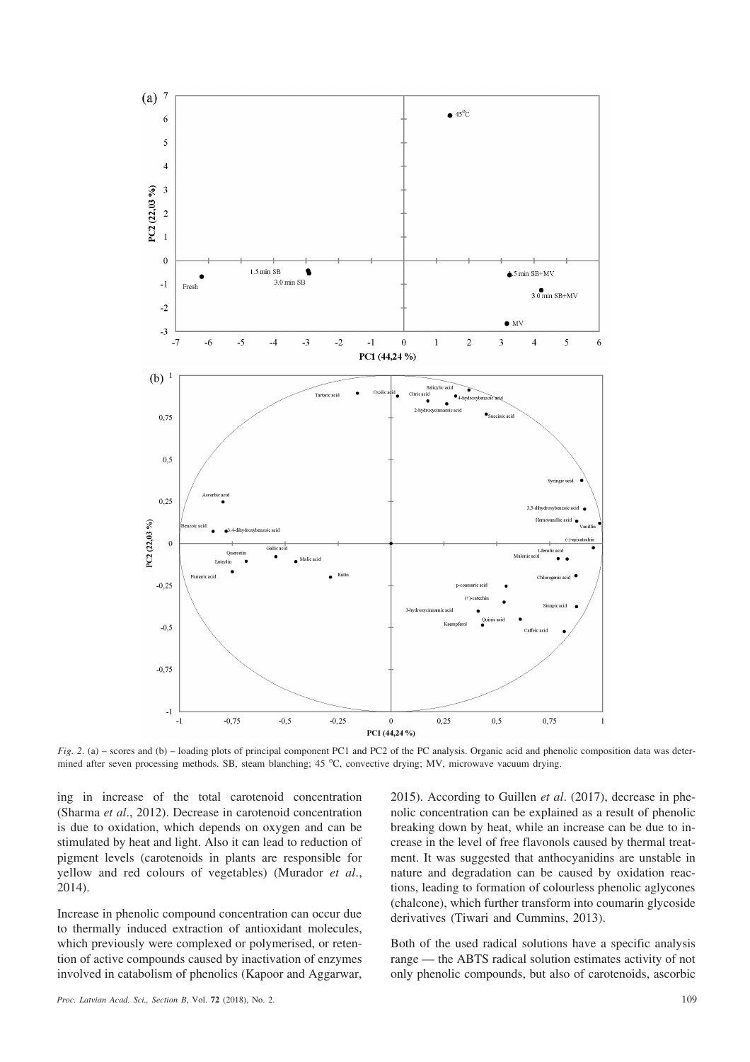

*Fig. 2.* (a) – scores and (b) – loading plots of principal component PC1 and PC2 of the PC analysis. Organic acid and phenolic composition data was determined after seven processing methods. SB, steam blanching; 45 °C, convective drying; MV, microwave vacuum drying.

ing in increase of the total carotenoid concentration (Sharma *et al*., 2012). Decrease in carotenoid concentration is due to oxidation, which depends on oxygen and can be stimulated by heat and light. Also it can lead to reduction of pigment levels (carotenoids in plants are responsible for yellow and red colours of vegetables) (Murador *et al*., 2014).

Increase in phenolic compound concentration can occur due to thermally induced extraction of antioxidant molecules, which previously were complexed or polymerised, or retention of active compounds caused by inactivation of enzymes involved in catabolism of phenolics (Kapoor and Aggarwar, 2015). According to Guillen *et al*. (2017), decrease in phenolic concentration can be explained as a result of phenolic breaking down by heat, while an increase can be due to increase in the level of free flavonols caused by thermal treatment. It was suggested that anthocyanidins are unstable in nature and degradation can be caused by oxidation reactions, leading to formation of colourless phenolic aglycones (chalcone), which further transform into coumarin glycoside derivatives (Tiwari and Cummins, 2013).

Both of the used radical solutions have a specific analysis range — the ABTS radical solution estimates activity of not only phenolic compounds, but also of carotenoids, ascorbic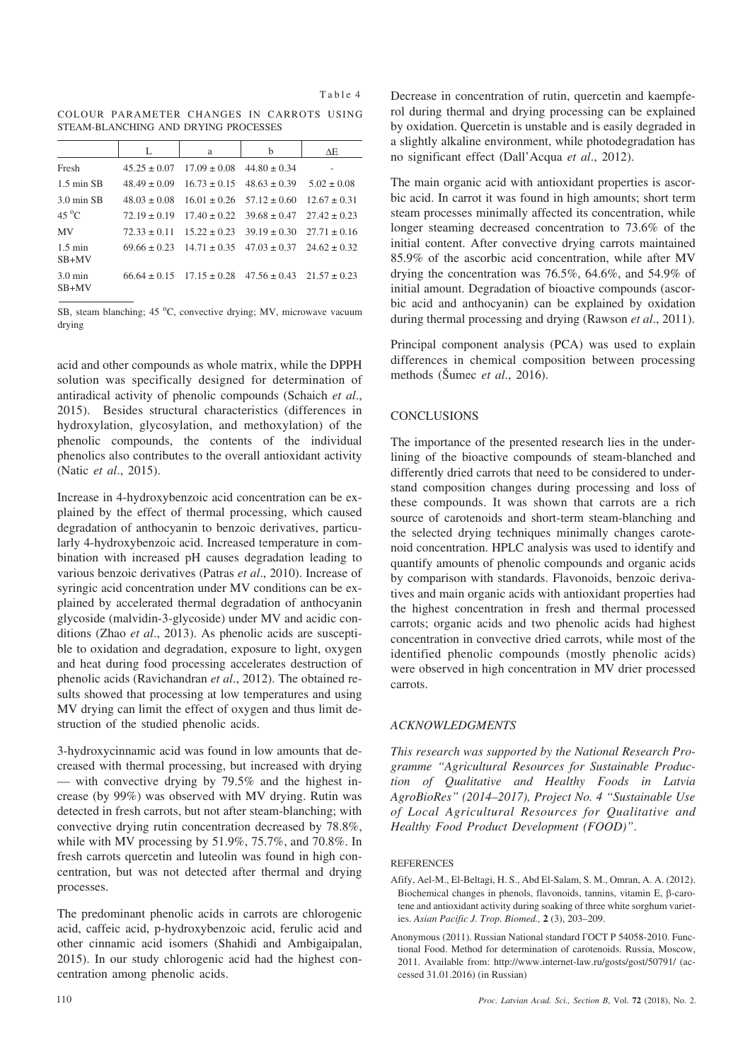| ani<br>г |  |
|----------|--|
|----------|--|

COLOUR PARAMETER CHANGES IN CARROTS USING STEAM-BLANCHING AND DRYING PROCESSES

|                              | L                | a                                 | b                                                                   | $\Delta E$ |
|------------------------------|------------------|-----------------------------------|---------------------------------------------------------------------|------------|
| Fresh                        | $45.25 \pm 0.07$ | $17.09 \pm 0.08$ 44.80 $\pm 0.34$ |                                                                     |            |
| $1.5$ min SB                 | $48.49 \pm 0.09$ |                                   | $16.73 \pm 0.15$ $48.63 \pm 0.39$ $5.02 \pm 0.08$                   |            |
| 3.0 min SB                   | $48.03 \pm 0.08$ |                                   | $16.01 \pm 0.26$ $57.12 \pm 0.60$ $12.67 \pm 0.31$                  |            |
| $45^{\circ}$ C               |                  |                                   | $72.19 \pm 0.19$ $17.40 \pm 0.22$ $39.68 \pm 0.47$ $27.42 \pm 0.23$ |            |
| <b>MV</b>                    |                  |                                   | $72.33 \pm 0.11$ $15.22 \pm 0.23$ $39.19 \pm 0.30$ $27.71 \pm 0.16$ |            |
| $1.5 \text{ min}$<br>$SB+MV$ |                  |                                   | $69.66 \pm 0.23$ $14.71 \pm 0.35$ $47.03 \pm 0.37$ $24.62 \pm 0.32$ |            |
| $3.0 \text{ min}$<br>$SB+MV$ |                  |                                   | $66.64 \pm 0.15$ $17.15 \pm 0.28$ $47.56 \pm 0.43$ $21.57 \pm 0.23$ |            |

SB, steam blanching;  $45^{\circ}$ C, convective drying; MV, microwave vacuum drying

acid and other compounds as whole matrix, while the DPPH solution was specifically designed for determination of antiradical activity of phenolic compounds (Schaich *et al*., 2015). Besides structural characteristics (differences in hydroxylation, glycosylation, and methoxylation) of the phenolic compounds, the contents of the individual phenolics also contributes to the overall antioxidant activity (Natic *et al*., 2015).

Increase in 4-hydroxybenzoic acid concentration can be explained by the effect of thermal processing, which caused degradation of anthocyanin to benzoic derivatives, particularly 4-hydroxybenzoic acid. Increased temperature in combination with increased pH causes degradation leading to various benzoic derivatives (Patras *et al*., 2010). Increase of syringic acid concentration under MV conditions can be explained by accelerated thermal degradation of anthocyanin glycoside (malvidin-3-glycoside) under MV and acidic conditions (Zhao *et al*., 2013). As phenolic acids are susceptible to oxidation and degradation, exposure to light, oxygen and heat during food processing accelerates destruction of phenolic acids (Ravichandran *et al*., 2012). The obtained results showed that processing at low temperatures and using MV drying can limit the effect of oxygen and thus limit destruction of the studied phenolic acids.

3-hydroxycinnamic acid was found in low amounts that decreased with thermal processing, but increased with drying — with convective drying by 79.5% and the highest increase (by 99%) was observed with MV drying. Rutin was detected in fresh carrots, but not after steam-blanching; with convective drying rutin concentration decreased by 78.8%, while with MV processing by 51.9%, 75.7%, and 70.8%. In fresh carrots quercetin and luteolin was found in high concentration, but was not detected after thermal and drying processes.

The predominant phenolic acids in carrots are chlorogenic acid, caffeic acid, p-hydroxybenzoic acid, ferulic acid and other cinnamic acid isomers (Shahidi and Ambigaipalan, 2015). In our study chlorogenic acid had the highest concentration among phenolic acids.

Decrease in concentration of rutin, quercetin and kaempferol during thermal and drying processing can be explained by oxidation. Quercetin is unstable and is easily degraded in a slightly alkaline environment, while photodegradation has no significant effect (Dall'Acqua *et al*., 2012).

The main organic acid with antioxidant properties is ascorbic acid. In carrot it was found in high amounts; short term steam processes minimally affected its concentration, while longer steaming decreased concentration to 73.6% of the initial content. After convective drying carrots maintained 85.9% of the ascorbic acid concentration, while after MV drying the concentration was 76.5%, 64.6%, and 54.9% of initial amount. Degradation of bioactive compounds (ascorbic acid and anthocyanin) can be explained by oxidation during thermal processing and drying (Rawson *et al*., 2011).

Principal component analysis (PCA) was used to explain differences in chemical composition between processing methods (Šumec *et al.*, 2016).

## **CONCLUSIONS**

The importance of the presented research lies in the underlining of the bioactive compounds of steam-blanched and differently dried carrots that need to be considered to understand composition changes during processing and loss of these compounds. It was shown that carrots are a rich source of carotenoids and short-term steam-blanching and the selected drying techniques minimally changes carotenoid concentration. HPLC analysis was used to identify and quantify amounts of phenolic compounds and organic acids by comparison with standards. Flavonoids, benzoic derivatives and main organic acids with antioxidant properties had the highest concentration in fresh and thermal processed carrots; organic acids and two phenolic acids had highest concentration in convective dried carrots, while most of the identified phenolic compounds (mostly phenolic acids) were observed in high concentration in MV drier processed carrots.

## *ACKNOWLEDGMENTS*

*This research was supported by the National Research Programme "Agricultural Resources for Sustainable Production of Qualitative and Healthy Foods in Latvia AgroBioRes" (2014–2017), Project No. 4 "Sustainable Use of Local Agricultural Resources for Qualitative and Healthy Food Product Development (FOOD)"*.

#### **REFERENCES**

- Afify, Ael-M., El-Beltagi, H. S., Abd El-Salam, S. M., Omran, A. A. (2012). Biochemical changes in phenols, flavonoids, tannins, vitamin  $E$ ,  $\beta$ -carotene and antioxidant activity during soaking of three white sorghum varieties. *Asian Pacific J. Trop. Biomed.,* **2** (3), 203–209.
- Anonymous (2011). Russian National standard ГОСТ Р 54058-2010. Functional Food. Method for determination of carotenoids. Russia, Moscow, 2011. Available from: http://www.internet-law.ru/gosts/gost/50791/ (accessed 31.01.2016) (in Russian)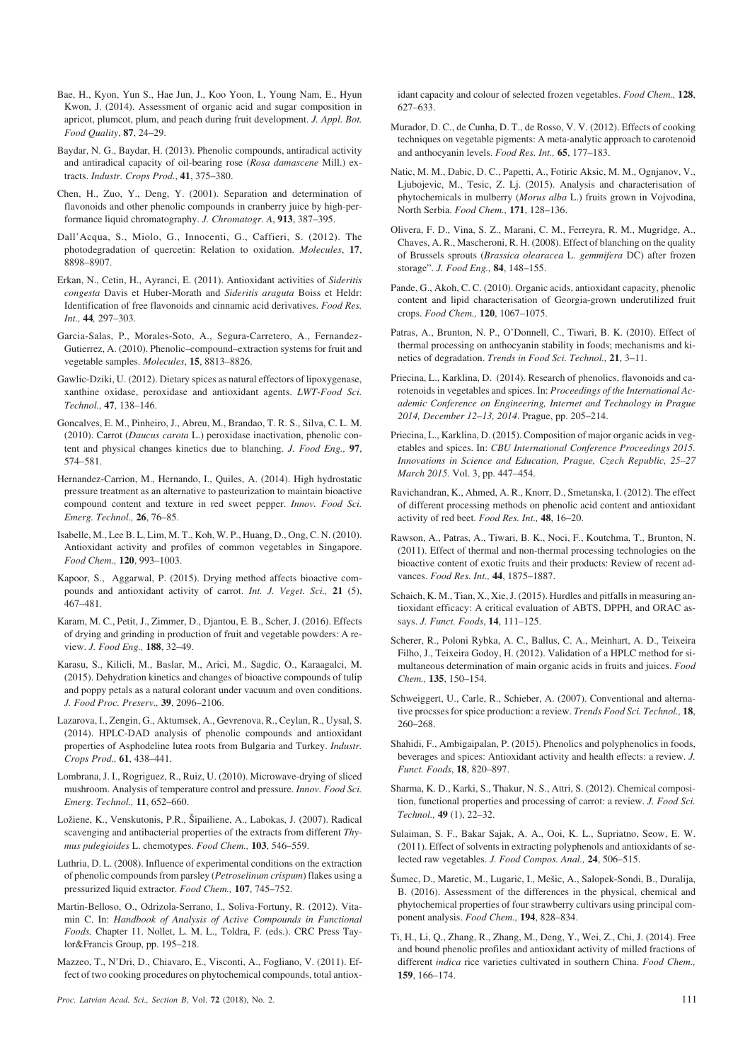- Bae, H., Kyon, Yun S., Hae Jun, J., Koo Yoon, I., Young Nam, E., Hyun Kwon, J. (2014). Assessment of organic acid and sugar composition in apricot, plumcot, plum, and peach during fruit development. *J. Appl. Bot. Food Quality*, **87**, 24–29.
- Baydar, N. G., Baydar, H. (2013). Phenolic compounds, antiradical activity and antiradical capacity of oil-bearing rose (*Rosa damascene* Mill.) extracts. *Industr. Crops Prod.*, **41**, 375–380.
- Chen, H., Zuo, Y., Deng, Y. (2001). Separation and determination of flavonoids and other phenolic compounds in cranberry juice by high-performance liquid chromatography. *J. Chromatogr. A*, **913**, 387–395.
- Dall'Acqua, S., Miolo, G., Innocenti, G., Caffieri, S. (2012). The photodegradation of quercetin: Relation to oxidation. *Molecules*, **17**, 8898–8907.
- Erkan, N., Cetin, H., Ayranci, E. (2011). Antioxidant activities of *Sideritis congesta* Davis et Huber-Morath and *Sideritis araguta* Boiss et Heldr: Identification of free flavonoids and cinnamic acid derivatives. *Food Res. Int.,* **44***,* 297–303.
- Garcia-Salas, P., Morales-Soto, A., Segura-Carretero, A., Fernandez-Gutierrez, A. (2010). Phenolic–compound–extraction systems for fruit and vegetable samples. *Molecules*, **15**, 8813–8826.
- Gawlic-Dziki, U. (2012). Dietary spices as natural effectors of lipoxygenase, xanthine oxidase, peroxidase and antioxidant agents. *LWT-Food Sci. Technol.,* **47**, 138–146.
- Goncalves, E. M., Pinheiro, J., Abreu, M., Brandao, T. R. S., Silva, C. L. M. (2010). Carrot (*Daucus carota* L.) peroxidase inactivation, phenolic content and physical changes kinetics due to blanching. *J. Food Eng.,* **97**, 574–581.
- Hernandez-Carrion, M., Hernando, I., Quiles, A. (2014). High hydrostatic pressure treatment as an alternative to pasteurization to maintain bioactive compound content and texture in red sweet pepper. *Innov. Food Sci. Emerg. Technol.,* **26**, 76–85.
- Isabelle, M., Lee B. L, Lim, M. T., Koh, W. P., Huang, D., Ong, C. N. (2010). Antioxidant activity and profiles of common vegetables in Singapore. *Food Chem.,* **120**, 993–1003.
- Kapoor, S., Aggarwal, P. (2015). Drying method affects bioactive compounds and antioxidant activity of carrot. *Int. J. Veget. Sci.,* **21** (5), 467–481.
- Karam, M. C., Petit, J., Zimmer, D., Djantou, E. B., Scher, J. (2016). Effects of drying and grinding in production of fruit and vegetable powders: A review. *J. Food Eng.,* **188**, 32–49.
- Karasu, S., Kilicli, M., Baslar, M., Arici, M., Sagdic, O., Karaagalci, M. (2015). Dehydration kinetics and changes of bioactive compounds of tulip and poppy petals as a natural colorant under vacuum and oven conditions. *J. Food Proc. Preserv.,* **39**, 2096–2106.
- Lazarova, I., Zengin, G., Aktumsek, A., Gevrenova, R., Ceylan, R., Uysal, S. (2014). HPLC-DAD analysis of phenolic compounds and antioxidant properties of Asphodeline lutea roots from Bulgaria and Turkey. *Industr. Crops Prod.,* **61**, 438–441.
- Lombrana, J. I., Rogriguez, R., Ruiz, U. (2010). Microwave-drying of sliced mushroom. Analysis of temperature control and pressure. *Innov. Food Sci. Emerg. Technol.,* **11**, 652–660.
- Ložiene, K., Venskutonis, P.R., Šipailiene, A., Labokas, J. (2007). Radical scavenging and antibacterial properties of the extracts from different *Thymus pulegioides* L. chemotypes. *Food Chem.,* **103**, 546–559.
- Luthria, D. L. (2008). Influence of experimental conditions on the extraction of phenolic compounds from parsley (*Petroselinum crispum*) flakes using a pressurized liquid extractor. *Food Chem.,* **107**, 745–752.
- Martin-Belloso, O., Odrizola-Serrano, I., Soliva-Fortuny, R. (2012). Vitamin C. In: *Handbook of Analysis of Active Compounds in Functional Foods.* Chapter 11. Nollet, L. M. L., Toldra, F. (eds.). CRC Press Taylor&Francis Group, pp. 195–218.
- Mazzeo, T., N'Dri, D., Chiavaro, E., Visconti, A., Fogliano, V. (2011). Effect of two cooking procedures on phytochemical compounds, total antiox-

idant capacity and colour of selected frozen vegetables. *Food Chem.,* **128**, 627–633.

- Murador, D. C., de Cunha, D. T., de Rosso, V. V. (2012). Effects of cooking techniques on vegetable pigments: A meta-analytic approach to carotenoid and anthocyanin levels. *Food Res. Int.,* **65**, 177–183.
- Natic, M. M., Dabic, D. C., Papetti, A., Fotiric Aksic, M. M., Ognjanov, V., Ljubojevic, M., Tesic, Z. Lj. (2015). Analysis and characterisation of phytochemicals in mulberry (*Morus alba* L.) fruits grown in Vojvodina, North Serbia. *Food Chem.,* **171**, 128–136.
- Olivera, F. D., Vina, S. Z., Marani, C. M., Ferreyra, R. M., Mugridge, A., Chaves, A. R., Mascheroni, R. H. (2008). Effect of blanching on the quality of Brussels sprouts (*Brassica olearacea* L. *gemmifera* DC) after frozen storage". *J. Food Eng.,* **84**, 148–155.
- Pande, G., Akoh, C. C. (2010). Organic acids, antioxidant capacity, phenolic content and lipid characterisation of Georgia-grown underutilized fruit crops. *Food Chem.,* **120**, 1067–1075.
- Patras, A., Brunton, N. P., O'Donnell, C., Tiwari, B. K. (2010). Effect of thermal processing on anthocyanin stability in foods; mechanisms and kinetics of degradation. *Trends in Food Sci. Technol.,* **21**, 3–11.
- Priecina, L., Karklina, D. (2014). Research of phenolics, flavonoids and carotenoids in vegetables and spices. In: *Proceedings of the International Academic Conference on Engineering, Internet and Technology in Prague 2014, December 12–13, 2014*. Prague, pp. 205–214.
- Priecina, L., Karklina, D. (2015). Composition of major organic acids in vegetables and spices. In: *CBU International Conference Proceedings 2015. Innovations in Science and Education, Prague, Czech Republic, 25–27 March 2015.* Vol. 3, pp. 447–454.
- Ravichandran, K., Ahmed, A. R., Knorr, D., Smetanska, I. (2012). The effect of different processing methods on phenolic acid content and antioxidant activity of red beet. *Food Res. Int.,* **48**, 16–20.
- Rawson, A., Patras, A., Tiwari, B. K., Noci, F., Koutchma, T., Brunton, N. (2011). Effect of thermal and non-thermal processing technologies on the bioactive content of exotic fruits and their products: Review of recent advances. *Food Res. Int.,* **44**, 1875–1887.
- Schaich, K. M., Tian, X., Xie, J. (2015). Hurdles and pitfalls in measuring antioxidant efficacy: A critical evaluation of ABTS, DPPH, and ORAC assays. *J. Funct. Foods*, **14**, 111–125.
- Scherer, R., Poloni Rybka, A. C., Ballus, C. A., Meinhart, A. D., Teixeira Filho, J., Teixeira Godoy, H. (2012). Validation of a HPLC method for simultaneous determination of main organic acids in fruits and juices. *Food Chem.,* **135**, 150–154.
- Schweiggert, U., Carle, R., Schieber, A. (2007). Conventional and alternative procsses for spice production: a review. *Trends Food Sci. Technol.,* **18**, 260–268.
- Shahidi, F., Ambigaipalan, P. (2015). Phenolics and polyphenolics in foods, beverages and spices: Antioxidant activity and health effects: a review. *J. Funct. Foods*, **18**, 820–897.
- Sharma, K. D., Karki, S., Thakur, N. S., Attri, S. (2012). Chemical composition, functional properties and processing of carrot: a review. *J. Food Sci. Technol.,* **49** (1), 22–32.
- Sulaiman, S. F., Bakar Sajak, A. A., Ooi, K. L., Supriatno, Seow, E. W. (2011). Effect of solvents in extracting polyphenols and antioxidants of selected raw vegetables. *J. Food Compos. Anal.,* **24**, 506–515.
- Ðumec, D., Maretic, M., Lugaric, I., Meðic, A., Salopek-Sondi, B., Duralija, B. (2016). Assessment of the differences in the physical, chemical and phytochemical properties of four strawberry cultivars using principal component analysis. *Food Chem.,* **194**, 828–834.
- Ti, H., Li, Q., Zhang, R., Zhang, M., Deng, Y., Wei, Z., Chi, J. (2014). Free and bound phenolic profiles and antioxidant activity of milled fractions of different *indica* rice varieties cultivated in southern China. *Food Chem.,* **159**, 166–174.